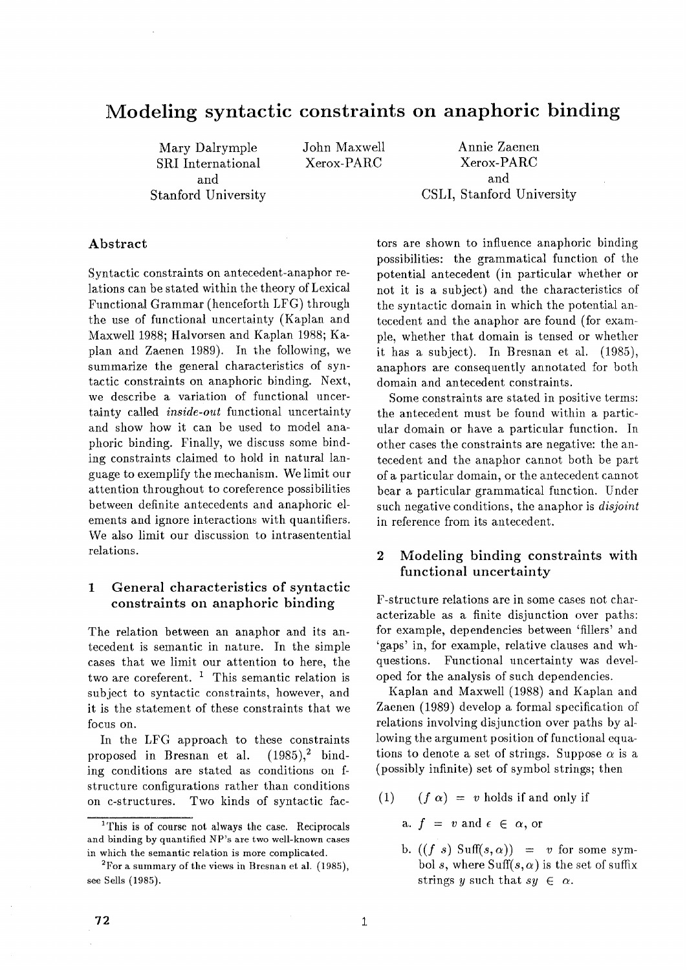# **Modeling syntactic constraints on anaphoric binding**

Mary Dalrymple SRI International and Stanford University John Maxwell Xerox-PARC

Annie Zaenen Xerox-PARC and CSLI, Stanford University

#### Abstract

Syntactic constraints on antecedent-anaphor relations can be stated within the theory of Lexical Functional Grammar (henceforth LFG) through the use of functional uncertainty (Kaplan and Maxwell 1988; Halvorsen and Kaplan 1988; Kaplan and Zaenen 1989). In the following, we summarize the general characteristics of syntactic constraints on anaphoric binding. Next, we describe a variation of functional uncertainty called *inside-out* functional uncertainty and show how it can be used to model anaphoric binding. Finally, we discuss some binding constraints claimed to hold in natural language to exemplify the mechanism. We limit our attention throughout to coreference possibilities between definite antecedents and anaphoric elements and ignore interactions with quantifiers. We also limit our discussion to intrasentential relations.

## 1 General characteristics of syntactic constraints on anaphoric binding

The relation between an anaphor and its antecedent is semantic in nature. In the simple cases that we limit our attention to here, the two are coreferent. <sup>1</sup> This semantic relation is subject to syntactic constraints, however, and it is the statement of these constraints that we focus on.

In the LFG approach to these constraints proposed in Bresnan et al.  $(1985)^2$  binding conditions are stated as conditions on fstructure configurations rather than conditions on c-structures. Two kinds of syntactic fac-

tors are shown to influence anaphoric binding possibilities: the grammatical function of the potential antecedent (in particular whether or not it is a subject) and the characteristics of the syntactic domain in which the potential antecedent and the anaphor are found (for example, whether that domain is tensed or whether it has a subject). In Bresnan et al. (1985), anaphors are consequently annotated for both domain and antecedent constraints.

Some constraints are stated in positive terms: the antecedent must be found within a particular domain or have a particular function. In other cases the constraints are negative: the antecedent and the anaphor cannot both be part of a particular domain, or the antecedent cannot bear a particular grammatical function. Under such negative conditions, the a naphor is *disjoint*  in reference from its antecedent.

## 2 Modeling binding constraints with functional uncertainty

F-structure relations are in some cases not characterizable as a finite disjunction over paths: for example, dependencies between 'fillers' and 'gaps' in, for example, relative clauses and whquestions. Functional uncertainty was developed for the analysis of such dependencies.

Kaplan and Maxwell (1988) and Kaplan and Zaenen (1989) develop a formal specification of relations involving disjunction over paths by allowing the argument position of functional equations to denote a set of strings. Suppose  $\alpha$  is a (possibly infinite) set of symbol strings; then

- (1)  $(f \alpha) = v$  holds if and only if
	- a.  $f = v$  and  $\epsilon \in \alpha$ , or
	- b.  $((f \ s) \text{ Suff}(s, \alpha)) = v$  for some symbol s, where Suff $(s, \alpha)$  is the set of suffix strings y such that  $su \in \alpha$ .

<sup>&</sup>lt;sup>1</sup>This is of course not always the case. Reciprocals and binding by quantified NP's are two well-known cases in which the semantic relation is more complicated.

 $2^2$ For a summary of the views in Bresnan et al. (1985), see Sells (1985).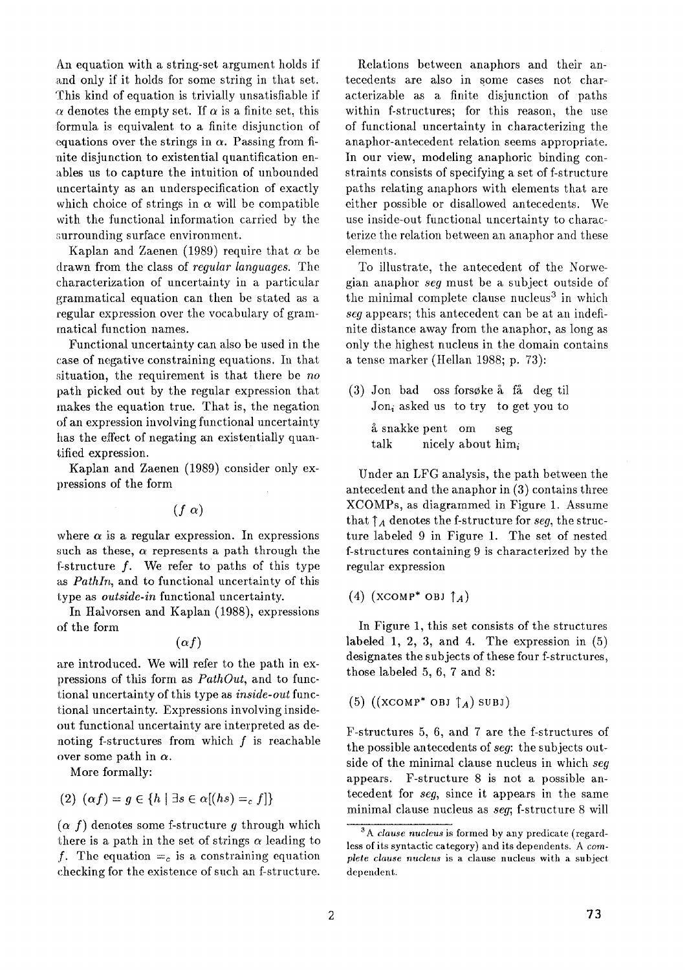An equation with a string-set argument holds if and only if it holds for some string in that set. This kind of equation is trivially unsatisfiable if  $\alpha$  denotes the empty set. If  $\alpha$  is a finite set, this formula is equivalent to a finite disjunction of equations over the strings in  $\alpha$ . Passing from finite disjunction to existential quantification enables us to capture the intuition of unbounded uncertainty as an underspecification of exactly which choice of strings in  $\alpha$  will be compatible with the functional information carried by the surrounding surface environment.

Kaplan and Zaenen (1989) require that  $\alpha$  be drawn from the class of *regular languages.* The characterization of uncertainty in a particular grammatical equation can then be stated as a regular expression over the vocabulary of grammatical function names.

Functional uncertainty can also be used in the case of negative constraining equations. In that situation, the requirement is that there be *no*  path picked out by the regular expression that makes the equation true. That is, the negation of an expression involving functional uncertainty has the effect of negating an existentially quantified expression.

Kaplan and Zaenen (1989) consider only expressions of the form

 $(f \alpha)$ 

where  $\alpha$  is a regular expression. In expressions such as these,  $\alpha$  represents a path through the f-structure f. We refer to paths of this type as *PathIn,* and to functional uncertainty of this type as *outside-in* functional uncertainty.

In Halvorsen and Kaplan (1988), expressions of the form

 $(\alpha f)$ 

are introduced. We will refer to the path in expressions of this form as *PathOut,* and to functional uncertainty of this type as *inside-out* functional uncertainty. Expressions involving insideout functional uncertainty are interpreted as denoting f-structures from which  $f$  is reachable over some path in  $\alpha$ .

More formally:

(2) 
$$
(\alpha f) = g \in \{h \mid \exists s \in \alpha[(hs) =_c f]\}
$$

 $(\alpha f)$  denotes some f-structure g through which there is a path in the set of strings  $\alpha$  leading to f. The equation  $=_c$  is a constraining equation checking for the existence of such an f-structure.

Relations between anaphors and their antecedents are also in some cases not characterizable as a finite disjunction of paths within f-structures; for this reason, the use of functional uncertainty in characterizing the anaphor-antecedent relation seems appropriate. In our view, modeling anaphoric binding constraints consists of specifying a set of f-structure paths relating anaphors with elements that are either possible or disallowed antecedents. We use inside-out functional uncertainty to characterize the relation between an anaphor and these elements.

To illustrate, the antecedent of the Norwegian anaphor *seg* must be a subject outside of the minimal complete clause nucleus<sup>3</sup> in which *seg* appears; this antecedent can be at an indefinite distance away from the anaphor, as long as only the highest nucleus in the domain contains a tense marker (tIellan 1988; p. 73):

 $(3)$  Jon bad oss forsøke å få deg til  $Jon<sub>i</sub>$  asked us to try to get you to £ snakke pent om seg talk nicely about  $\lim_i$ 

Under an LFG analysis, the path between the antecedent and the anaphor in (3) contains three XCOMPs, as diagrammed in Figure 1. Assume that  $\uparrow_A$  denotes the f-structure for *seg*, the structure labeled 9 in Figure 1. The set of nested f-structures containing 9 is characterized by the regular expression

(4) (XCOMP\* OBJ  $\uparrow_A$ )

In Figure 1, this set consists of the structures labeled 1, 2, 3, and 4. The expression in (5) designates the subjects of these four f-structures, those labeled 5, 6, 7 and 8:

 $(5)$  ((XCOMP<sup>\*</sup> OBJ  $\uparrow_A$ ) SUBJ)

F-structures 5, 6, and 7 are the f-structures of the possible antecedents of *seg:* the subjects outside of the minimal clause nucleus in which *seg*  appears. F-structure 8 is not a possible antecedent for *seg,* since it appears in the same minimal clause nucleus as *seg;* f-structure 8 will

<sup>3</sup>A *clause nucleus* is formed by any predicate (regardless of its syntactic category) and its dependents. A *complete clause nucleus* is a clause nucleus with a subject dependent.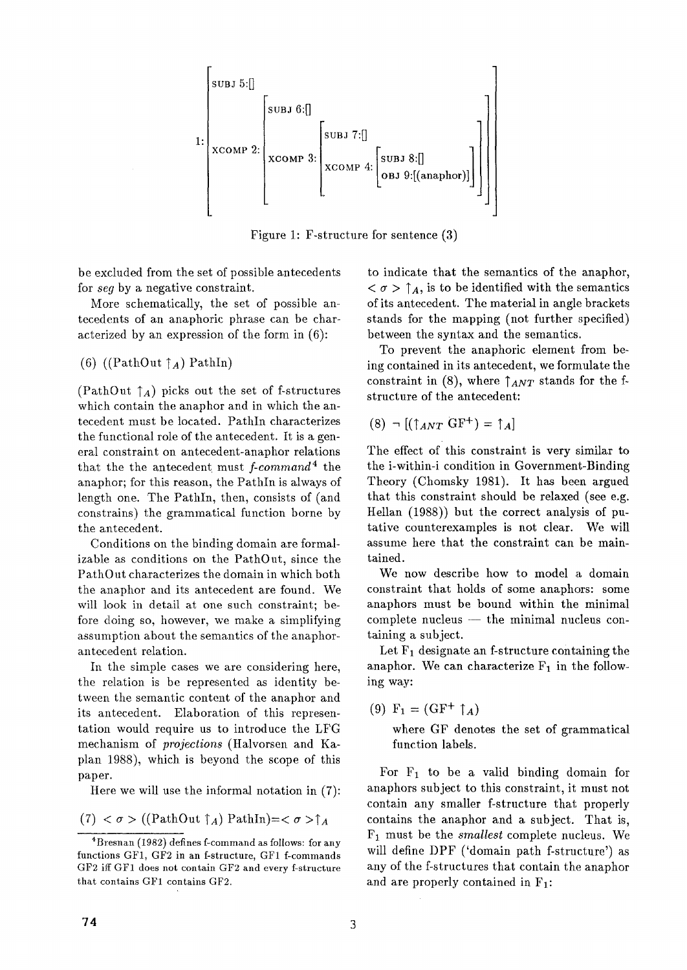

Figure 1: F-structure for sentence  $(3)$ 

be excluded from the set of possible antecedents for *seg* by a negative constraint.

More schematically, the set of possible antecedents of an anaphoric phrase can be characterized by an expression of the form in (6):

(6) ((PathOut  $\uparrow_A$ ) PathIn)

(PathOut  $\uparrow_A$ ) picks out the set of f-structures which contain the anaphor and in which the antecedent must be located. PathIn characterizes the functional role of the antecedent. It is a general constraint on antecedent-anaphor relations that the the antecedent must *f-command 4* the anaphor; for this reason, the PathIn is always of length one. The PathIn, then, consists of (and constrains) the grammatical function borne by the antecedent.

Conditions on the binding domain are formalizable as conditions on the PathOut, since the PathOut characterizes the domain in which both the anaphor and its antecedent are found. We will look in detail at one such constraint; before doing so, however, we make a simplifying assumption about the semantics of the anaphorantecedent relation.

In the simple cases we are considering here, the relation is be represented as identity between the semantic content of the anaphor and its antecedent. Elaboration of this representation would require us to introduce the LFG mechanism of *projections* (Halvorsen and Kaplan 1988), which is beyond the scope of this paper.

Here we will use the informal notation in (7):

(7) 
$$
\sigma
$$
 > ((PathOut  $\uparrow$ <sub>A</sub>) PathIn)= $\sigma$  > $\uparrow$ <sub>A</sub>

to indicate that the semantics of the anaphor,  $\langle \sigma \rangle$   $\uparrow$  A, is to be identified with the semantics of its antecedent. The material in angle brackets stands for the mapping (not further specified) between the syntax and the semantics.

To prevent the anaphoric element from being contained in its antecedent, we formulate the constraint in (8), where  $\uparrow_{ANT}$  stands for the fstructure of the antecedent:

$$
(8) \neg [(\uparrow_{ANT} \text{GF}^+) = \uparrow_A]
$$

The effect of this constraint is very similar to the i-within-i condition in Government-Binding Theory (Chomsky 1981). It has been argued that this constraint should be relaxed (see e.g. Hellan (1988)) but the correct analysis of putative counterexamples is not clear. We will assume here that the constraint can be maintained.

We now describe how to model a domain constraint that holds of some anaphors: some anaphors must be bound within the minimal  $complete$  nucleus  $-$  the minimal nucleus containing a subject.

Let  $F_1$  designate an f-structure containing the anaphor. We can characterize  $F_1$  in the following way:

(9)  $F_1 = (GF^+ \uparrow_A)$ 

where GF denotes the set of grammatical function labels.

For  $F_1$  to be a valid binding domain for anaphors subject to this constraint, it must not contain any smaller f-structure that properly contains the anaphor and a subject. That is, FI must be the *smallest* complete nucleus. We will define DPF ('domain path f-structure') as any of the f-structures that contain the anaphor and are properly contained in  $F_1$ :

<sup>4</sup>Bresnan (1982) defines f-command as follows: for any functions GF1, GF2 in an f-structure, GF1 f-commands GF2 iff GF1 does not contain GF2 and every f-structure that contains GF1 contains GF2.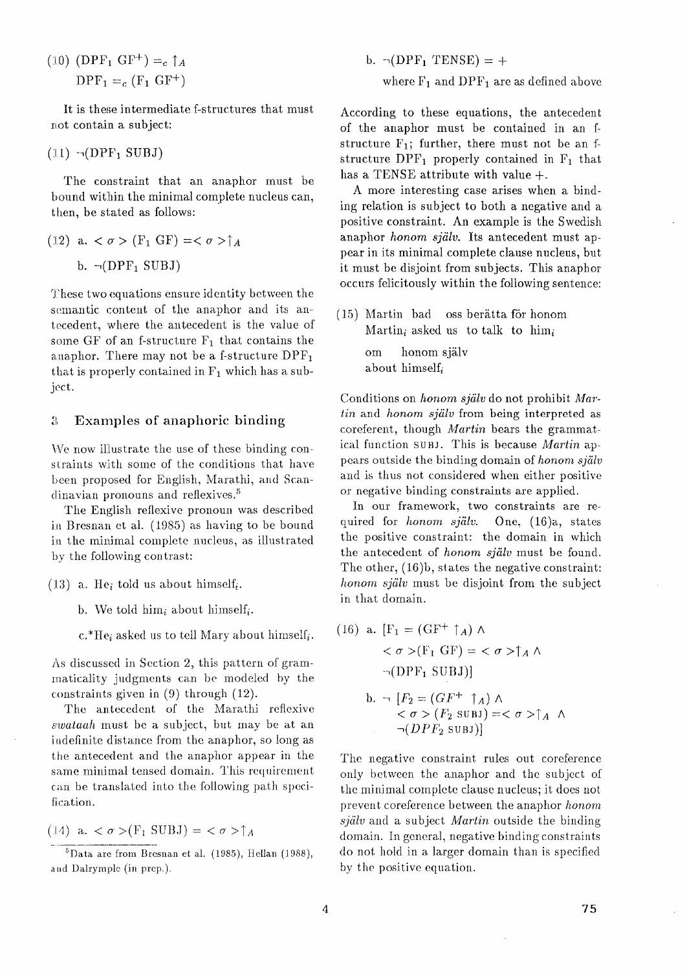(10) (DPF<sub>1</sub> GF<sup>+</sup>) =<sub>c</sub>  $\uparrow$ <sub>A</sub>  $DPF_1 = c(F_1 \text{ GF}^+)$ 

It is these intermediate f-structures that must not contain a subject:

 $(11)$   $\neg (DPF_1 \text{ SUBJ})$ 

The constraint that an anaphor must be bound within the minimal complete nucleus can, then, be stated as follows:

(12) a. 
$$
\langle \sigma \rangle
$$
 (F<sub>1</sub> GF) =  $\langle \sigma \rangle$   $\uparrow$  A b.  $\neg(\text{DPF}_1 \text{ SUBJ})$ 

These two equations ensure identity between the semantic content of the anaphor and its antecedent, where the antecedent is the value of some GF of an f-structure  $F_1$  that contains the anaphor. There may not be a f-structure  $\text{DPF}_1$ that is properly contained in  $F_1$  which has a subject.

#### % Examples of anaphoric binding

We now illustrate the use of these binding constraints with some of the conditions that have been proposed for English, Marathi, and Scandinavian pronouns and reflexives.<sup>5</sup>

The English retlexive pronoun was described in Bresnan et al. (1985) as having to be bound in the minimal complete nucleus, as illustrated by the following contrast:

(13) a. He<sub>i</sub> told us about himself<sub>i</sub>.

b. We told  $\lim_{i}$  about  $\lim\text{self}_{i}$ .

 $c.*He_i$  asked us to tell Mary about himself<sub>i</sub>.

As discussed in Section 2, this pattern of grammaticality judgments can be modeled by the constraints given in (9) through (12).

The antecedent of the Marathi reflexive *,~:wataah* must be a subject, but may be at an iadefinite distance from the anaphor, so long as the antecedent and the anaphor appear in the same minimal tensed domain. This requirement can be translated into the following path specification.

$$
(14) a. < \sigma > (F_1 \text{ SUBJ}) = <\sigma > \uparrow_A
$$

b.  $\neg (DPF_1 \text{ TENSE}) = +$ where  $F_1$  and  $DPF_1$  are as defined above

According to these equations, the antecedent of the anaphor must be contained in an fstructure  $F_1$ ; further, there must not be an fstructure  $DPF_1$  properly contained in  $F_1$  that has a TENSE attribute with value +.

A more interesting ease arises when a binding relation is subject to both a negative and a positive constraint. An example is the Swedish anaphor *honom själv*. Its antecedent must appear in its minimal complete clause nucleus, but it must be disjoint from subjects. This anaphor occurs felicitously within the following sentence:

 $(15)$  Martin bad oss berätta för honom Martin<sub>i</sub> asked us to talk to him<sub>i</sub> om honom själv about himself<sub>i</sub>

Conditions on *honom sjiilv* do not prohibit *Martin* and *honom sjiilv* from being interpreted as coreferent, though *Martin* bears the grammatical function suBJ. This is because *Martin ap*pears outside the binding domain of *honom sfiilv*  and is thus not considered when either positive or negative binding constraints are applied.

In our framework, two constraints are required for *honom sjiilv.* One, (16)a, states the positive constraint: the domain in which the antecedent of *honom själv* must be found. The other, (16)b, states the negative constraint: *honom själv* must be disjoint from the subject in that domain.

(16) a. 
$$
[F_1 = (GF^+ \uparrow_A) \land \n< \sigma > (F_1 GF) = < \sigma > \uparrow_A \land \n\neg (DPF_1 \text{ SUBJ})]
$$
\nb. 
$$
\neg [F_2 = (GF^+ \uparrow_A) \land \n< \sigma > (F_2 \text{ SUBJ}) = < \sigma > \uparrow_A \land \n\neg (DPF_2 \text{ SUBJ})]
$$

The negative constraint rules out coreference only between the anaphor and the subject of the minimal complete clause nucleus; it does not prevent coreference between the anaphor *honom zjiilv* and a subject *Martin* outside the binding domain. In general, negative binding constraints do not hold in a larger domain than is specified by the positive equation.

 ${}^{5}$ Data are from Bresnan et al. (1985), Hellan (1988), and Dalrymple (in prep.).